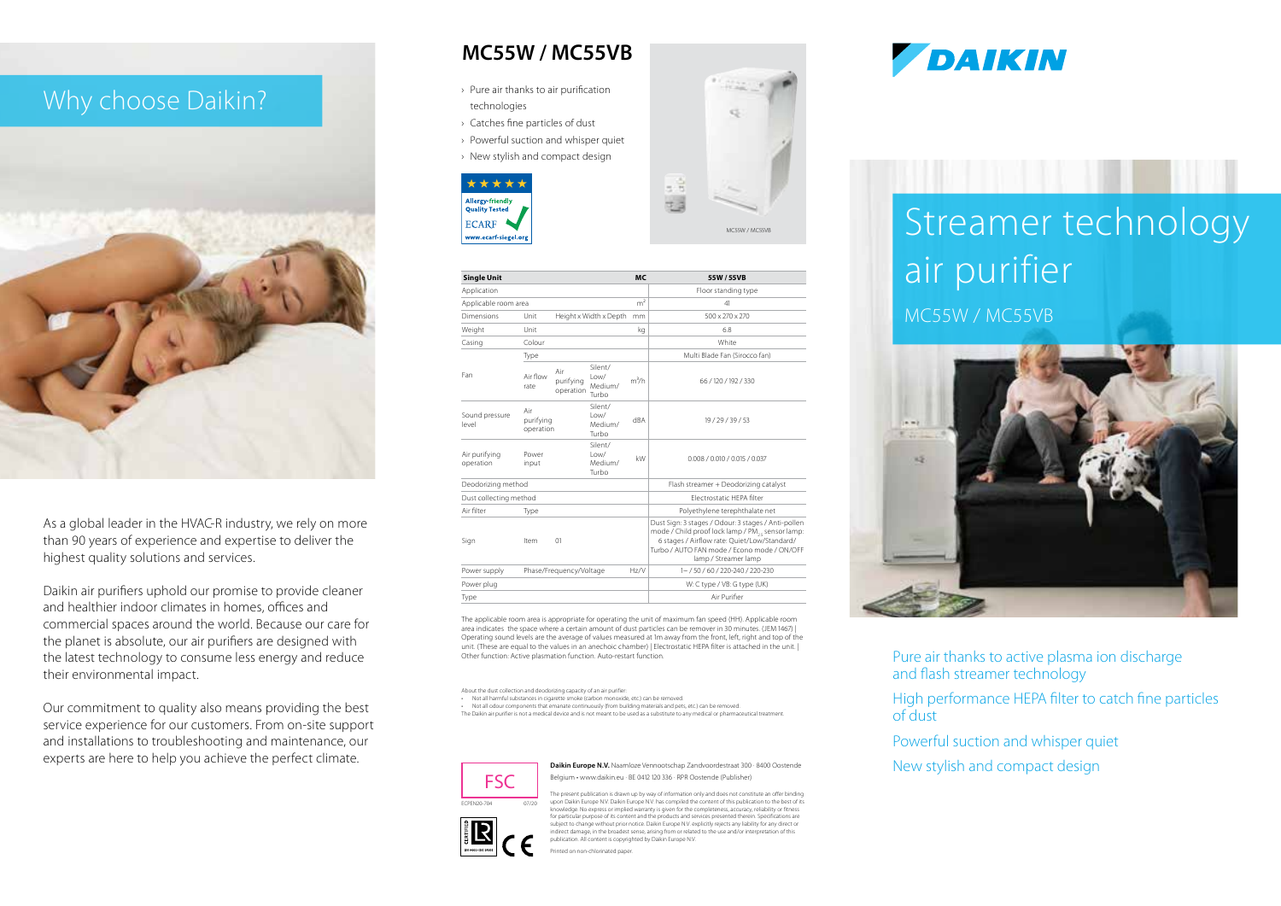# Why choose Daikin?



As a global leader in the HVAC-R industry, we rely on more than 90 years of experience and expertise to deliver the highest quality solutions and services.

Daikin air purifiers uphold our promise to provide cleaner and healthier indoor climates in homes, offices and commercial spaces around the world. Because our care for the planet is absolute, our air purifiers are designed with the latest technology to consume less energy and reduce their environmental impact.

Our commitment to quality also means providing the best service experience for our customers. From on-site support and installations to troubleshooting and maintenance, our experts are here to help you achieve the perfect climate.

# **MC55W / MC55VB**

- › Pure air thanks to air purification technologies
- › Catches fine particles of dust
- › Powerful suction and whisper quiet
- › New stylish and compact design





| <b>Single Unit</b>         |                               |                               |                                          | <b>MC</b> | 55W / 55VB                                                                                                                                                                                                                     |
|----------------------------|-------------------------------|-------------------------------|------------------------------------------|-----------|--------------------------------------------------------------------------------------------------------------------------------------------------------------------------------------------------------------------------------|
| Application                |                               |                               |                                          |           | Floor standing type                                                                                                                                                                                                            |
| Applicable room area       |                               |                               |                                          |           | 41                                                                                                                                                                                                                             |
| Dimensions                 | Unit                          |                               | Height x Width x Depth                   | mm        | 500 x 270 x 270                                                                                                                                                                                                                |
| Weight                     | Unit                          |                               |                                          | kq        | 68                                                                                                                                                                                                                             |
| Casing                     | Colour                        |                               |                                          |           | White                                                                                                                                                                                                                          |
|                            | Type                          |                               |                                          |           | Multi Blade Fan (Sirocco fan)                                                                                                                                                                                                  |
| Fan                        | Air flow<br>rate              | Air<br>purifying<br>operation | Silent/<br>$1$ $0W/$<br>Medium/<br>Turbo | $m^3/h$   | 66 / 120 / 192 / 330                                                                                                                                                                                                           |
| Sound pressure<br>level    | Air<br>purifying<br>operation |                               | Silent/<br>l ow/<br>Medium/<br>Turbo     | dBA       | 19 / 29 / 39 / 53                                                                                                                                                                                                              |
| Air purifying<br>operation | Power<br>input                |                               | Silent/<br>l ow/<br>Medium/<br>Turbo     | kW        | 0.008 / 0.010 / 0.015 / 0.037                                                                                                                                                                                                  |
| Deodorizing method         |                               |                               |                                          |           | Flash streamer + Deodorizing catalyst                                                                                                                                                                                          |
| Dust collecting method     |                               |                               |                                          |           | Flectrostatic HFPA filter                                                                                                                                                                                                      |
| Air filter                 | Type                          |                               |                                          |           | Polyethylene terephthalate net                                                                                                                                                                                                 |
| Sign                       | Item                          | $^{01}$                       |                                          |           | Dust Sign: 3 stages / Odour: 3 stages / Anti-pollen<br>mode / Child proof lock lamp / PM., sensor lamp:<br>6 stages / Airflow rate: Quiet/Low/Standard/<br>Turbo / AUTO FAN mode / Econo mode / ON/OFF<br>lamp / Streamer lamp |
| Power supply               | Phase/Frequency/Voltage       |                               |                                          | Hz/V      | 1~ / 50 / 60 / 220-240 / 220-230                                                                                                                                                                                               |
| Power plug                 |                               |                               |                                          |           | W: C type / VB: G type (UK)                                                                                                                                                                                                    |
| Type                       |                               |                               |                                          |           | Air Purifier                                                                                                                                                                                                                   |

The applicable room area is appropriate for operating the unit of maximum fan speed (HH). Applicable room area indicates the space where a certain amount of dust particles can be remover in 30 minutes. (JEM 1467) | Operating sound levels are the average of values measured at 1m away from the front, left, right and top of the unit. (These are equal to the values in an anechoic chamber) | Electrostatic HEPA filter is attached in the unit. | Other function: Active plasmation function. Auto-restart function.

About the dust collection and deodorizing capacity of an air purifier: • Not all harmful substances in cigarette smoke (carbon monovide, etc.) can be removed

• Not all odour components that emanate continuously (from building materials and pets, etc.) can be removed. The Daikin air purifier is not a medical device and is not meant to be used as a substitute to any medical or pharmaceutical treatment.

> **Daikin Europe N.V.** Naamloze Vennootschap Zandvoordestraat 300 · 8400 Oostende Belgium • www.daikin.eu · BE 0412 120 336 · RPR Oostende (Publisher)

> > The present publication is drawn up by way of information only and does not constitute an offer binding





**DAIKIN** 

# Streamer technology air purifier

MC55W / MC55VB



Pure air thanks to active plasma ion discharge and flash streamer technology

High performance HEPA filter to catch fine particles of dust

Powerful suction and whisper quiet

New stylish and compact design

Printed on non-chlorinated paper.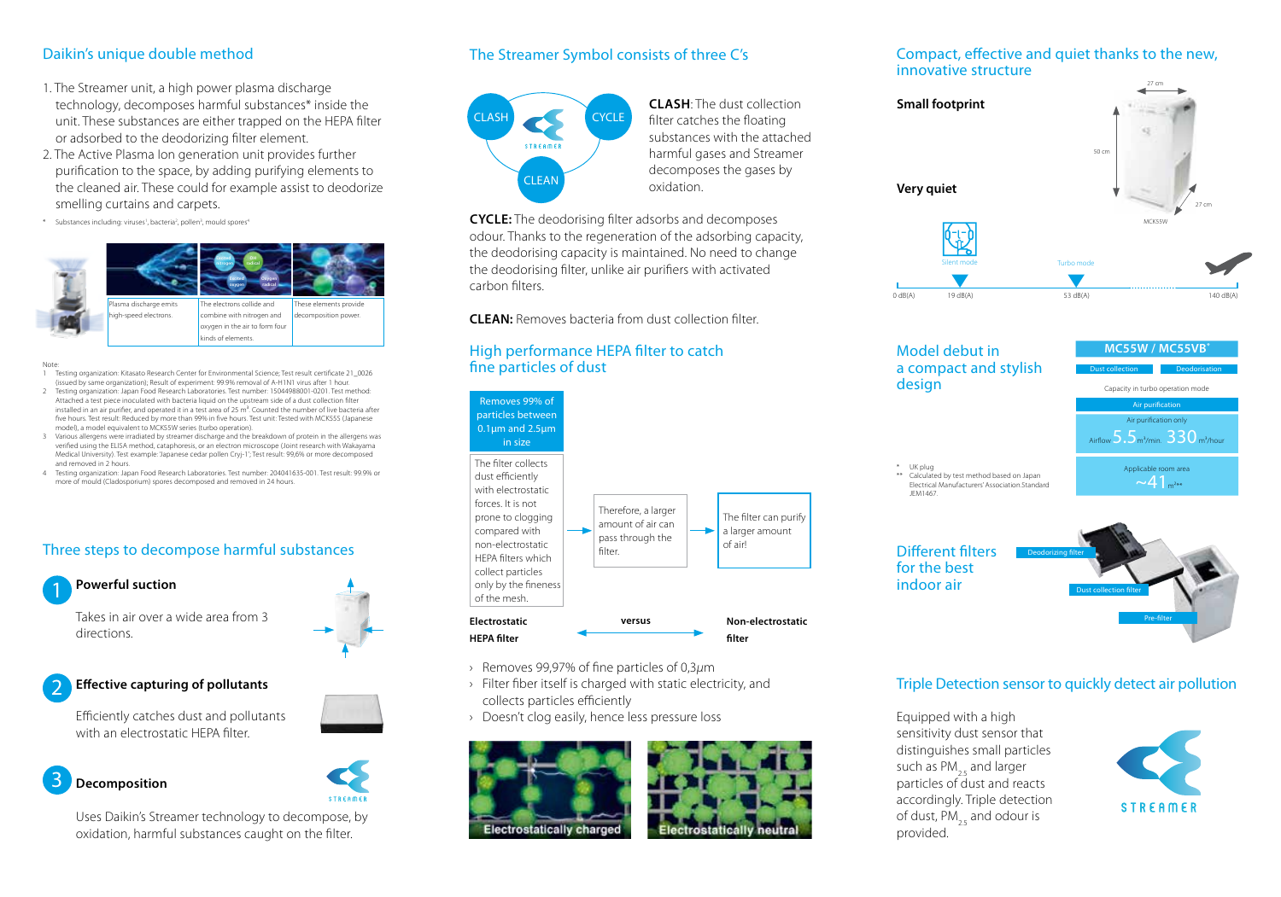### Daikin's unique double method

- 1. The Streamer unit, a high power plasma discharge technology, decomposes harmful substances\* inside the unit. These substances are either trapped on the HEPA filter or adsorbed to the deodorizing filter element.
- 2. The Active Plasma Ion generation unit provides further purification to the space, by adding purifying elements to the cleaned air. These could for example assist to deodorize smelling curtains and carpets.
- \* Substances including: viruses<sup>1</sup>, bacteria<sup>2</sup>, pollen<sup>3</sup>, mould spores<sup>4</sup>



- Note: 1 Testing organization: Kitasato Research Center for Environmental Science; Test result certificate 21\_0026 (issued by same organization); Result of experiment: 99.9% removal of A-H1N1 virus after 1 hour.
- 2 Testing organization: Japan Food Research Laboratories. Test number: 15044988001-0201. Test method: Attached a test piece inoculated with bacteria liquid on the upstream side of a dust collection filter installed in an air purifier, and operated it in a test area of 25 m<sup>3</sup>. Counted the number of live bacteria after five hours. Test result: Reduced by more than 99% in five hours. Test unit: Tested with MCK55S (Japanese model), a model equivalent to MCK55W series (turbo operation).
- 3 Various allergens were irradiated by streamer discharge and the breakdown of protein in the allergens was verified using the ELISA method, cataphoresis, or an electron microscope (Joint research with Wakayama Medical University). Test example: 'Japanese cedar pollen Cryj-1'; Test result: 99,6% or more decomposed and removed in 2 hours.
- 4 Testing organization: Japan Food Research Laboratories. Test number: 204041635-001. Test result: 99.9% or more of mould (Cladosporium) spores decomposed and removed in 24 hours.

### Three steps to decompose harmful substances



Takes in air over a wide area from 3 directions.



### **Effective capturing of pollutants** 2

Efficiently catches dust and pollutants with an electrostatic HEPA filter.

### **Decomposition** 3



Uses Daikin's Streamer technology to decompose, by oxidation, harmful substances caught on the filter.

### The Streamer Symbol consists of three C's



**CLASH**: The dust collection filter catches the floating substances with the attached harmful gases and Streamer decomposes the gases by oxidation.

**CYCLE:** The deodorising filter adsorbs and decomposes odour. Thanks to the regeneration of the adsorbing capacity, the deodorising capacity is maintained. No need to change the deodorising filter, unlike air purifiers with activated carbon filters.

**CLEAN:** Removes bacteria from dust collection filter.

### High performance HEPA filter to catch fine particles of dust



- › Removes 99,97% of fine particles of 0,3*μ*m
- › Filter fiber itself is charged with static electricity, and collects particles efficiently
- › Doesn't clog easily, hence less pressure loss





### Compact, effective and quiet thanks to the new, innovative structure



## Model debut in a compact and stylish design

\*\* Calculated by test method based on Japan Electrical Manufacturers' Association.Standard

Air purification only Applicable room area  $~1.241$ Airflow  $5.5<sub>m³/min</sub>$ .  $330<sub>m³/hour</sub>$ Dust collection Air purification Deodorisation **MC55W / MC55VB\*** Capacity in turbo operation mode

Different filters for the best indoor air

\* UK plug

JEM1467.



### Triple Detection sensor to quickly detect air pollution

Equipped with a high sensitivity dust sensor that distinguishes small particles such as PM<sub>25</sub> and larger particles of dust and reacts accordingly. Triple detection of dust, PM<sub>25</sub> and odour is provided.

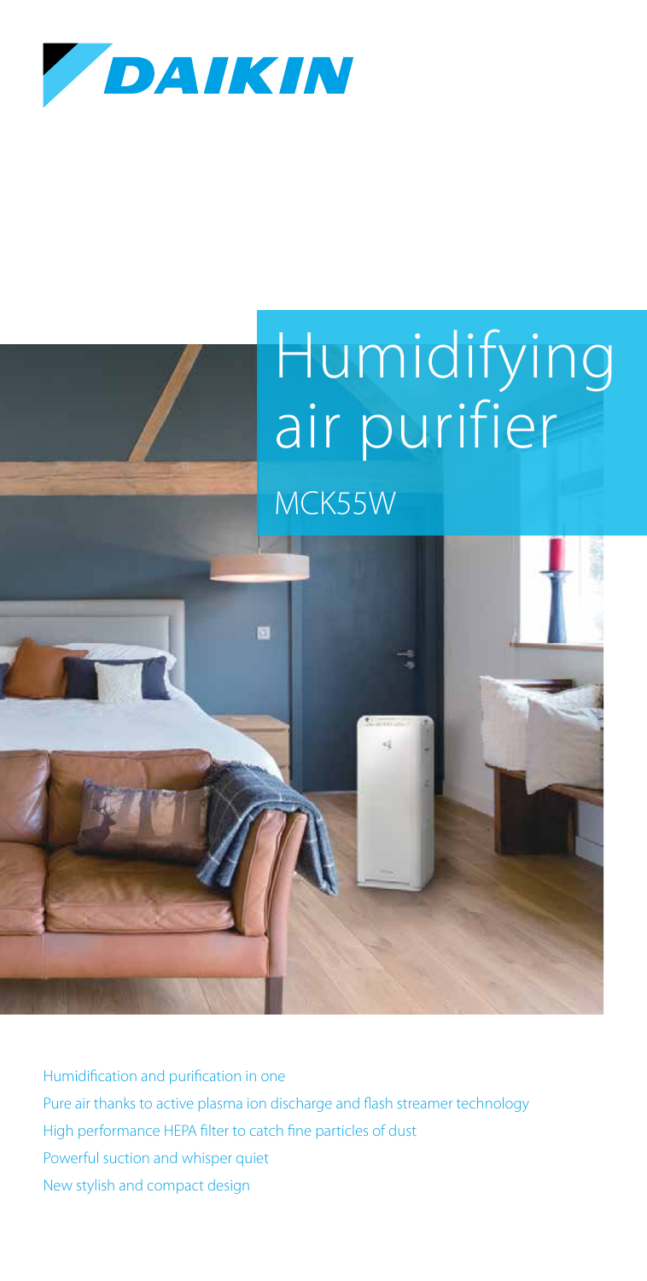

# Humidifying air purifier

MCK55W



Humidification and purification in one Pure air thanks to active plasma ion discharge and flash streamer technology High performance HEPA filter to catch fine particles of dust Powerful suction and whisper quiet New stylish and compact design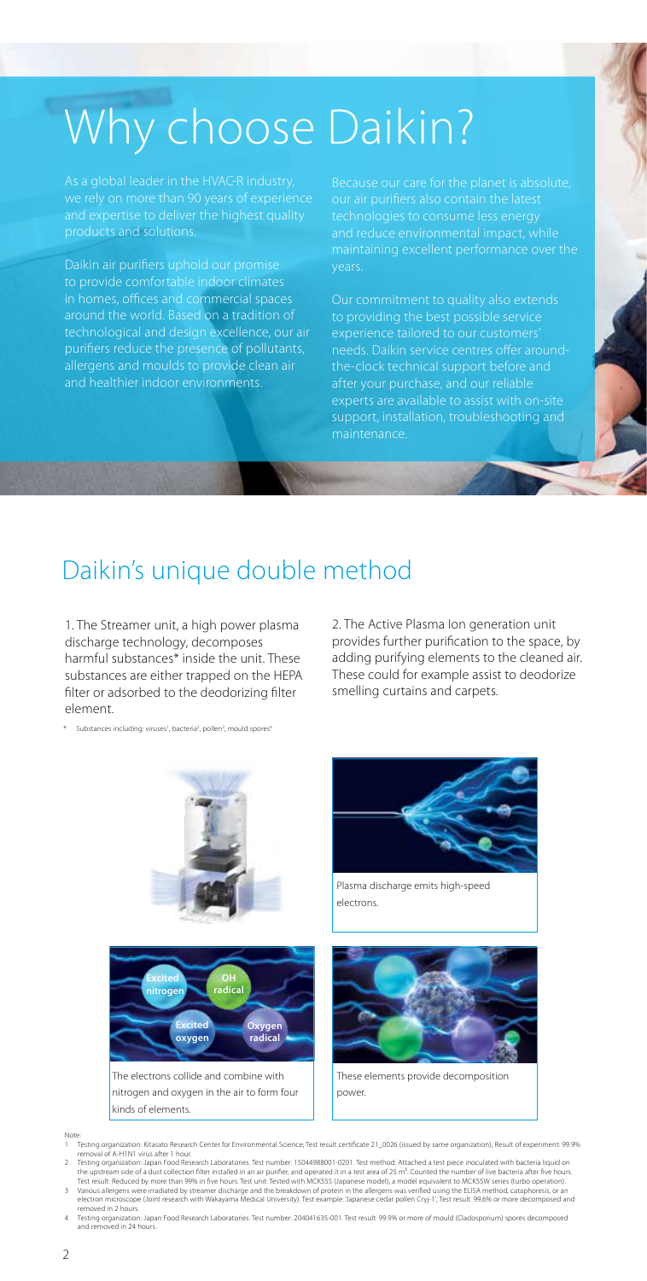# Why choose Daikin?

products and solutions.

to provide comfortable indoor climates in homes, offices and commercial spaces around the world. Based on a tradition of technological and design excellence, our air purifiers reduce the presence of pollutants, allergens and moulds to provide clean air and healthier indoor environments.

support, installation, troubleshooting and maintenance.

# Daikin's unique double method

1. The Streamer unit, a high power plasma discharge technology, decomposes harmful substances\* inside the unit. These substances are either trapped on the HEPA filter or adsorbed to the deodorizing filter element.

\* Substances including: viruses<sup>1</sup>, bacteria<sup>2</sup>, pollen<sup>3</sup>, mould spores<sup>4</sup>

2. The Active Plasma Ion generation unit provides further purification to the space, by adding purifying elements to the cleaned air. These could for example assist to deodorize smelling curtains and carpets.







Plasma discharge emits high-speed electrons.



These elements provide decomposition power.

Note:

kinds of elements.

- ..<br>Testing organization: Kitasato Research Center for Environmental Science; Test result certificate 21\_0026 (issued by same organization); Result of experiment: 99.9% removal of A-H1N1 virus after 1 hour. 2 Testing organization: Japan Food Research Laboratories. Test number: 15044988001-0201. Test method: Attached a test piece inoculated with bacteria liquid on
- the upstream side of a dust collection filter installed in an air purifier, and operated it in a test area of 25 m<sup>3</sup>. Counted the number of live bacteria after five hours.<br>Test result: Reduced by more than 99% in five hou
- 4 Testing organization: Japan Food Research Laboratories. Test number: 204041635-001. Test result: 99.9% or more of mould (Cladosporium) spores decomposed and removed in 24 hours.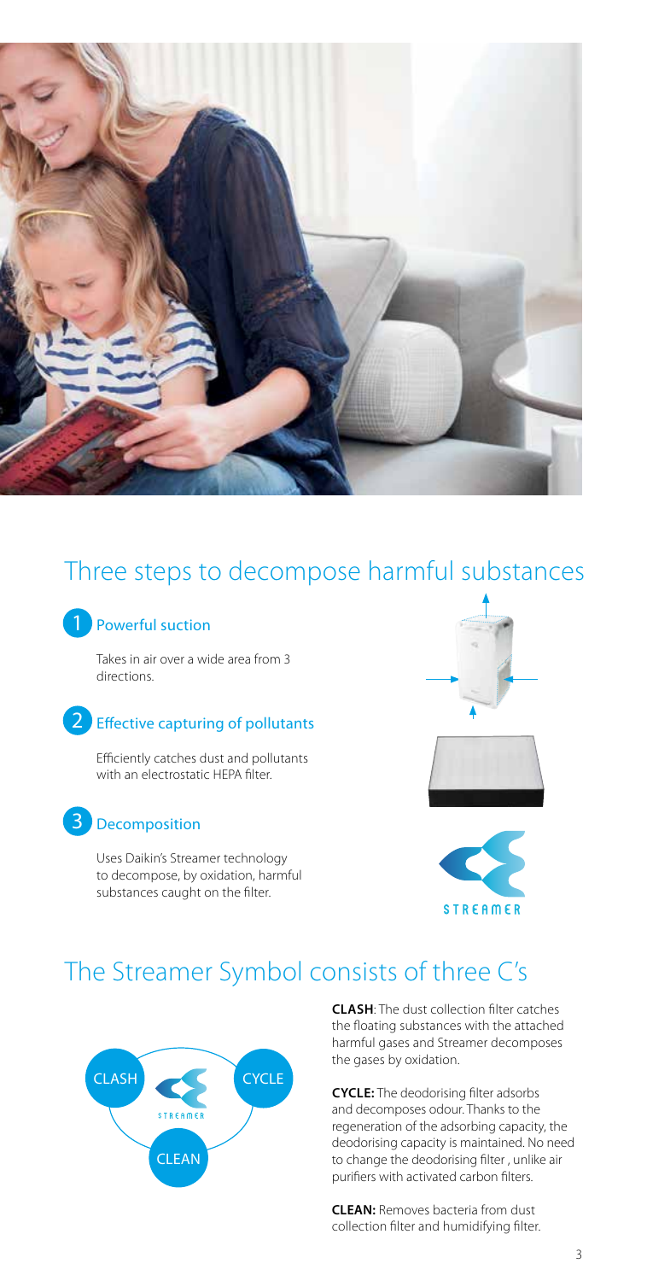

# Three steps to decompose harmful substances

## 1 Powerful suction

Takes in air over a wide area from 3 directions.

## 2 Effective capturing of pollutants

Efficiently catches dust and pollutants with an electrostatic HFPA filter

## Decomposition 3

Uses Daikin's Streamer technology to decompose, by oxidation, harmful substances caught on the filter.







# The Streamer Symbol consists of three C's



**CLASH**: The dust collection filter catches the floating substances with the attached harmful gases and Streamer decomposes the gases by oxidation.

**CYCLE:** The deodorising filter adsorbs and decomposes odour. Thanks to the regeneration of the adsorbing capacity, the deodorising capacity is maintained. No need to change the deodorising filter , unlike air purifiers with activated carbon filters.

**CLEAN:** Removes bacteria from dust collection filter and humidifying filter.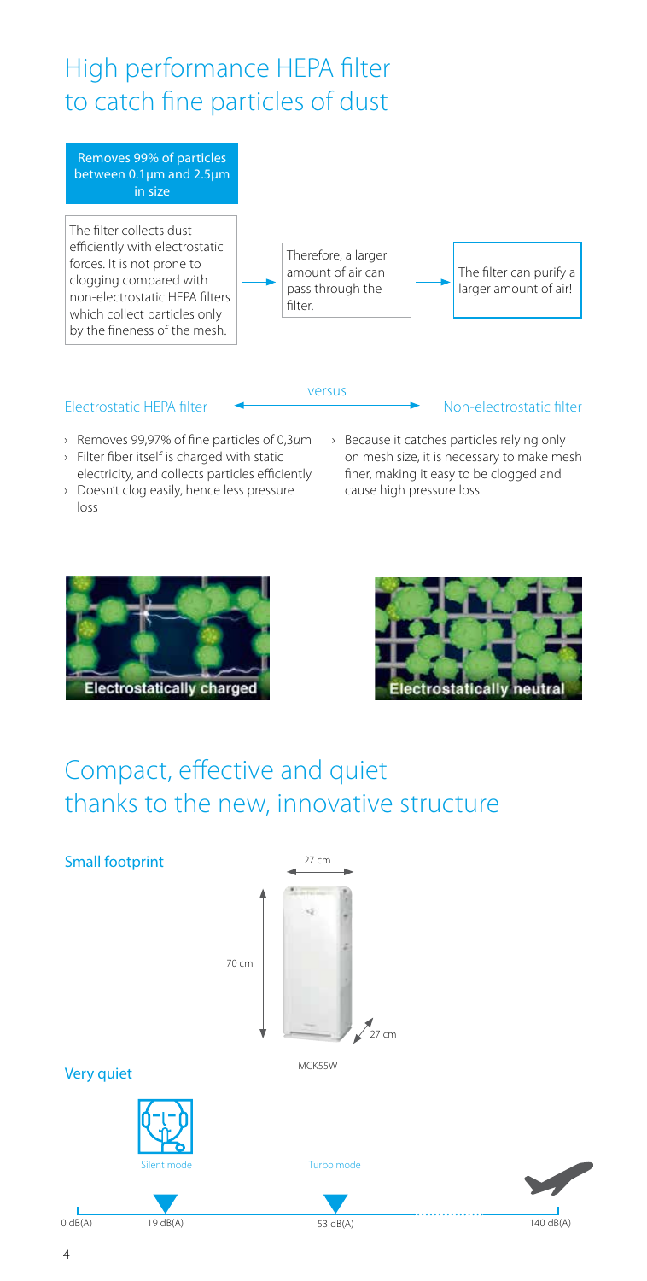# High performance HEPA filter to catch fine particles of dust

Removes 99% of particles between 0.1μm and 2.5μm in size

The filter collects dust efficiently with electrostatic forces. It is not prone to clogging compared with non-electrostatic HEPA filters which collect particles only by the fineness of the mesh.



versus

The filter can purify a larger amount of air!

Non-electrostatic filter

### Electrostatic HEPA filter

- › Removes 99,97% of fine particles of 0,3*μ*m
- › Filter fiber itself is charged with static electricity, and collects particles efficiently
- › Doesn't clog easily, hence less pressure loss
- › Because it catches particles relying only on mesh size, it is necessary to make mesh finer, making it easy to be clogged and cause high pressure loss





# Compact, effective and quiet thanks to the new, innovative structure

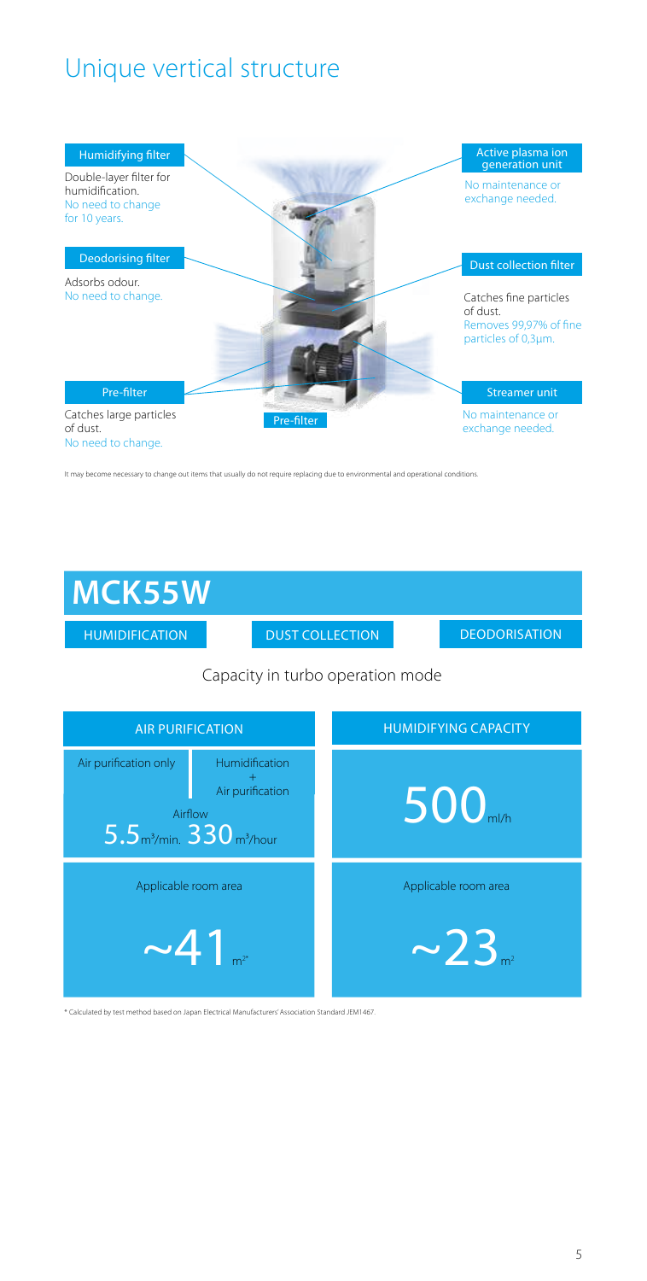# Unique vertical structure



It may become necessary to change out items that usually do not require replacing due to environmental and operational conditions.

# **MCK55W**

HUMIDIFICATION DUST COLLECTION

**DEODORISATION** 

### Capacity in turbo operation mode



\* Calculated by test method based on Japan Electrical Manufacturers' Association Standard JEM1467.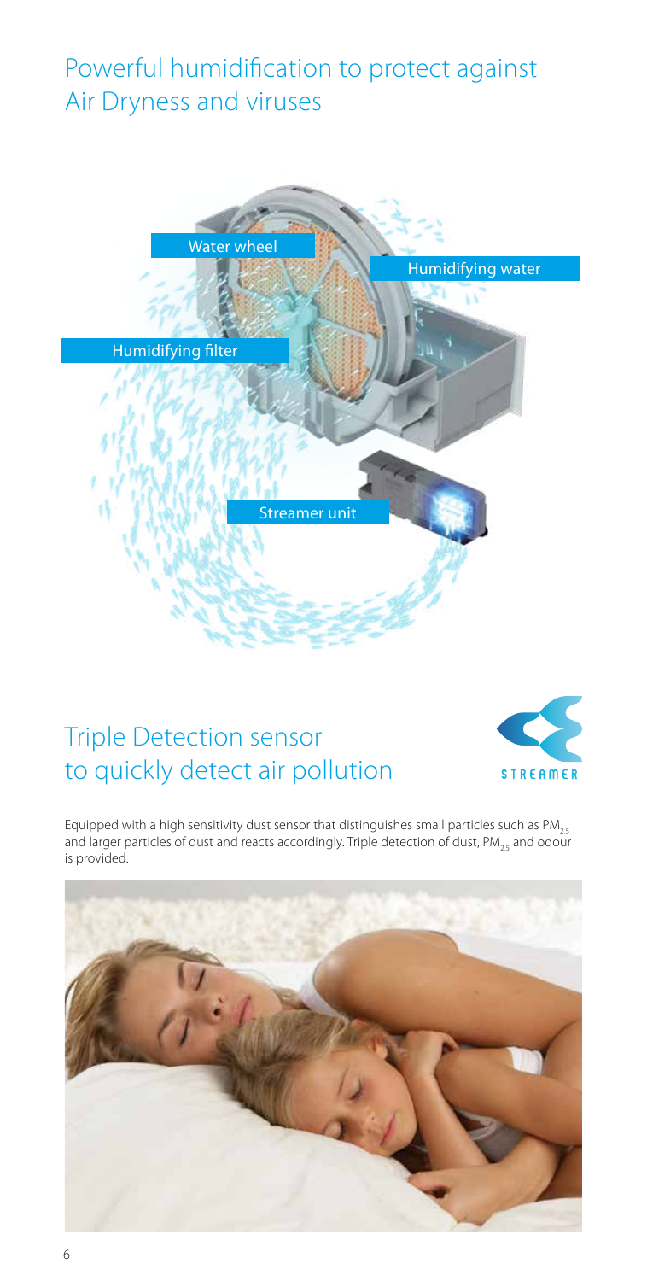# Powerful humidification to protect against Air Dryness and viruses



# Triple Detection sensor to quickly detect air pollution



Equipped with a high sensitivity dust sensor that distinguishes small particles such as PM<sub>25</sub> and larger particles of dust and reacts accordingly. Triple detection of dust, PM<sub>25</sub> and odour is provided.

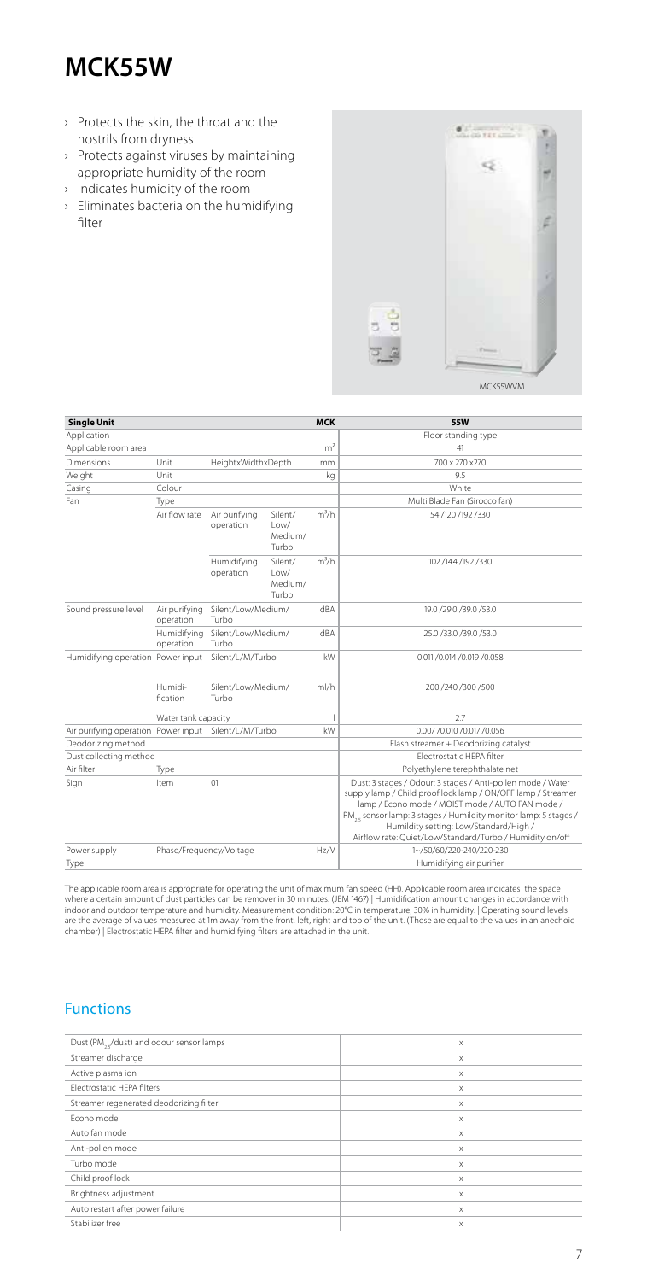# **MCK55W**

- › Protects the skin, the throat and the nostrils from dryness
- › Protects against viruses by maintaining appropriate humidity of the room
- › Indicates humidity of the room
- › Eliminates bacteria on the humidifying filter



| <b>Single Unit</b>                                   |                            |                             |                                     | <b>MCK</b>     | 55W                                                                                                                                                                                                                                                                                                                                                                   |
|------------------------------------------------------|----------------------------|-----------------------------|-------------------------------------|----------------|-----------------------------------------------------------------------------------------------------------------------------------------------------------------------------------------------------------------------------------------------------------------------------------------------------------------------------------------------------------------------|
| Application                                          |                            |                             |                                     |                | Floor standing type                                                                                                                                                                                                                                                                                                                                                   |
| Applicable room area                                 |                            |                             |                                     | m <sup>2</sup> | 41                                                                                                                                                                                                                                                                                                                                                                    |
| Dimensions                                           | Unit                       | HeightxWidthxDepth          |                                     | mm             | 700 x 270 x 270                                                                                                                                                                                                                                                                                                                                                       |
| Weight                                               | Unit                       |                             |                                     | kg             | 9.5                                                                                                                                                                                                                                                                                                                                                                   |
| Casing                                               | Colour                     |                             |                                     |                | White                                                                                                                                                                                                                                                                                                                                                                 |
| Fan                                                  | Type                       |                             |                                     |                | Multi Blade Fan (Sirocco fan)                                                                                                                                                                                                                                                                                                                                         |
|                                                      | Air flow rate              | Air purifying<br>operation  | Silent/<br>Low/<br>Medium/<br>Turbo | $m^3/h$        | 54/120/192/330                                                                                                                                                                                                                                                                                                                                                        |
|                                                      |                            | Humidifying<br>operation    | Silent/<br>Low/<br>Medium/<br>Turbo | $m^3/h$        | 102 /144 /192 /330                                                                                                                                                                                                                                                                                                                                                    |
| Sound pressure level                                 | Air purifying<br>operation | Silent/Low/Medium/<br>Turbo |                                     | dBA            | 19.0 /29.0 /39.0 /53.0                                                                                                                                                                                                                                                                                                                                                |
|                                                      | Humidifying<br>operation   | Silent/Low/Medium/<br>Turbo |                                     | dBA            | 25.0 /33.0 /39.0 /53.0                                                                                                                                                                                                                                                                                                                                                |
| Humidifying operation Power input                    |                            | Silent/L/M/Turbo            |                                     | kW             | 0.011 / 0.014 / 0.019 / 0.058                                                                                                                                                                                                                                                                                                                                         |
|                                                      | Humidi-<br>fication        | Silent/Low/Medium/<br>Turbo |                                     | ml/h           | 200 /240 /300 /500                                                                                                                                                                                                                                                                                                                                                    |
|                                                      | Water tank capacity        |                             |                                     |                | 27                                                                                                                                                                                                                                                                                                                                                                    |
| Air purifying operation Power input Silent/L/M/Turbo |                            | kW                          |                                     |                | 0.007 /0.010 /0.017 /0.056                                                                                                                                                                                                                                                                                                                                            |
| Deodorizing method                                   |                            |                             |                                     |                | Flash streamer + Deodorizing catalyst                                                                                                                                                                                                                                                                                                                                 |
| Dust collecting method                               |                            |                             |                                     |                | Electrostatic HEPA filter                                                                                                                                                                                                                                                                                                                                             |
| Air filter                                           | Type                       |                             |                                     |                | Polyethylene terephthalate net                                                                                                                                                                                                                                                                                                                                        |
| Sign                                                 | Item                       | 01                          |                                     |                | Dust: 3 stages / Odour: 3 stages / Anti-pollen mode / Water<br>supply lamp / Child proof lock lamp / ON/OFF lamp / Streamer<br>lamp / Econo mode / MOIST mode / AUTO FAN mode /<br>PM <sub>2</sub> , sensor lamp: 3 stages / Humildity monitor lamp: 5 stages /<br>Humildity setting: Low/Standard/High /<br>Airflow rate: Quiet/Low/Standard/Turbo / Humidity on/off |
| Power supply                                         | Phase/Frequency/Voltage    | Hz/V                        |                                     |                | 1~/50/60/220-240/220-230                                                                                                                                                                                                                                                                                                                                              |
| Type                                                 |                            |                             |                                     |                | Humidifying air purifier                                                                                                                                                                                                                                                                                                                                              |

The applicable room area is appropriate for operating the unit of maximum fan speed (HH). Applicable room area indicates the space where a certain amount of dust particles can be remover in 30 minutes. (JEM 1467) | Humidification amount changes in accordance with<br>indoor and outdoor temperature and humidity. Measurement condition: 20℃ in temperature,

### Functions

| Dust (PM, ¿/dust) and odour sensor lamps | X |
|------------------------------------------|---|
| Streamer discharge                       | X |
| Active plasma ion                        | X |
| Electrostatic HEPA filters               | X |
| Streamer regenerated deodorizing filter  | X |
| Econo mode                               | X |
| Auto fan mode                            | X |
| Anti-pollen mode                         | X |
| Turbo mode                               | X |
| Child proof lock                         | X |
| Brightness adjustment                    | X |
| Auto restart after power failure         | X |
| Stabilizer free                          | X |